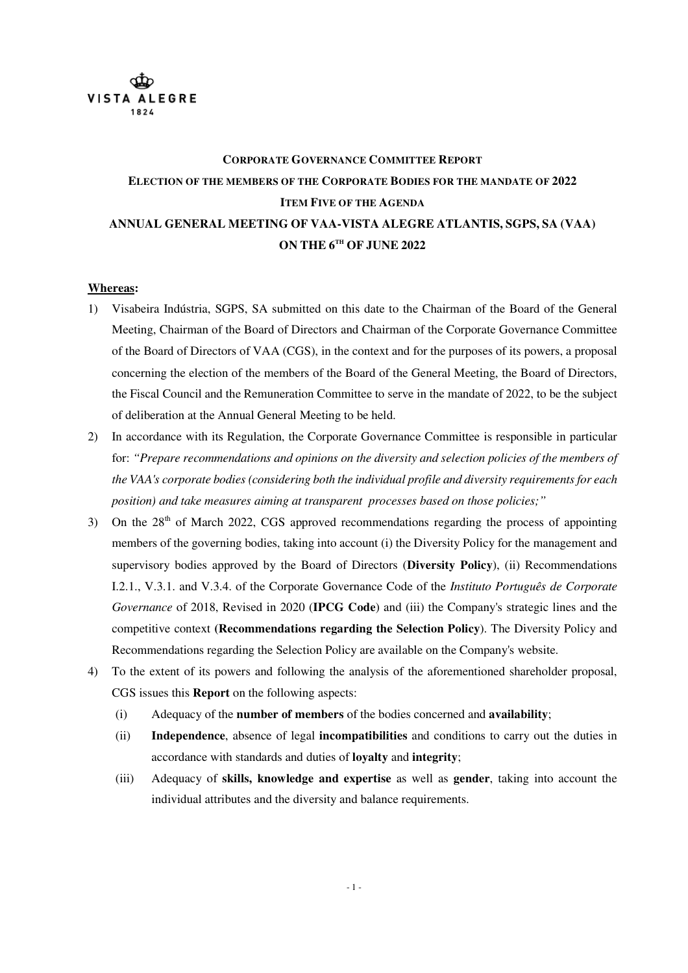

# **CORPORATE GOVERNANCE COMMITTEE REPORT ELECTION OF THE MEMBERS OF THE CORPORATE BODIES FOR THE MANDATE OF 2022 ITEM FIVE OF THE AGENDA ANNUAL GENERAL MEETING OF VAA-VISTA ALEGRE ATLANTIS, SGPS, SA (VAA) ON THE 6 TH OF JUNE 2022**

#### **Whereas:**

- 1) Visabeira Indústria, SGPS, SA submitted on this date to the Chairman of the Board of the General Meeting, Chairman of the Board of Directors and Chairman of the Corporate Governance Committee of the Board of Directors of VAA (CGS), in the context and for the purposes of its powers, a proposal concerning the election of the members of the Board of the General Meeting, the Board of Directors, the Fiscal Council and the Remuneration Committee to serve in the mandate of 2022, to be the subject of deliberation at the Annual General Meeting to be held.
- 2) In accordance with its Regulation, the Corporate Governance Committee is responsible in particular for: *"Prepare recommendations and opinions on the diversity and selection policies of the members of the VAA's corporate bodies (considering both the individual profile and diversity requirements for each position) and take measures aiming at transparent processes based on those policies;"*
- 3) On the 28<sup>th</sup> of March 2022, CGS approved recommendations regarding the process of appointing members of the governing bodies, taking into account (i) the Diversity Policy for the management and supervisory bodies approved by the Board of Directors (**Diversity Policy**), (ii) Recommendations I.2.1., V.3.1. and V.3.4. of the Corporate Governance Code of the *Instituto Português de Corporate Governance* of 2018, Revised in 2020 (**IPCG Code**) and (iii) the Company's strategic lines and the competitive context **(Recommendations regarding the Selection Policy**). The Diversity Policy and Recommendations regarding the Selection Policy are available on the Company's website.
- 4) To the extent of its powers and following the analysis of the aforementioned shareholder proposal, CGS issues this **Report** on the following aspects:
	- (i) Adequacy of the **number of members** of the bodies concerned and **availability**;
	- (ii) **Independence**, absence of legal **incompatibilities** and conditions to carry out the duties in accordance with standards and duties of **loyalty** and **integrity**;
	- (iii) Adequacy of **skills, knowledge and expertise** as well as **gender**, taking into account the individual attributes and the diversity and balance requirements.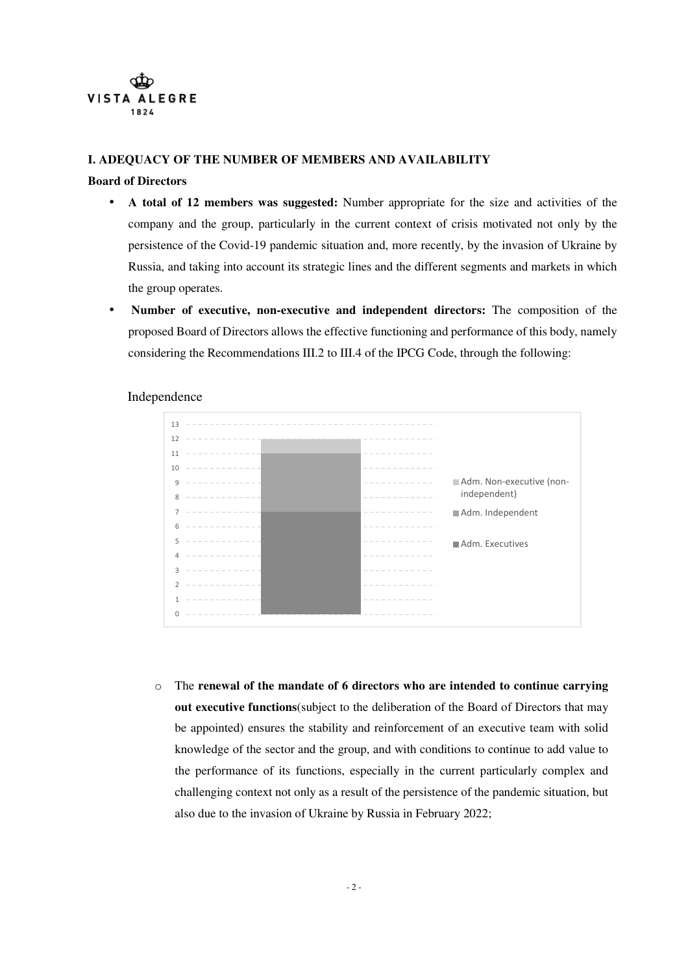

### **I. ADEQUACY OF THE NUMBER OF MEMBERS AND AVAILABILITY**

#### **Board of Directors**

- **A total of 12 members was suggested:** Number appropriate for the size and activities of the company and the group, particularly in the current context of crisis motivated not only by the persistence of the Covid-19 pandemic situation and, more recently, by the invasion of Ukraine by Russia, and taking into account its strategic lines and the different segments and markets in which the group operates.
- **Number of executive, non-executive and independent directors:** The composition of the proposed Board of Directors allows the effective functioning and performance of this body, namely considering the Recommendations III.2 to III.4 of the IPCG Code, through the following:



# Independence

o The **renewal of the mandate of 6 directors who are intended to continue carrying out executive functions**(subject to the deliberation of the Board of Directors that may be appointed) ensures the stability and reinforcement of an executive team with solid knowledge of the sector and the group, and with conditions to continue to add value to the performance of its functions, especially in the current particularly complex and challenging context not only as a result of the persistence of the pandemic situation, but also due to the invasion of Ukraine by Russia in February 2022;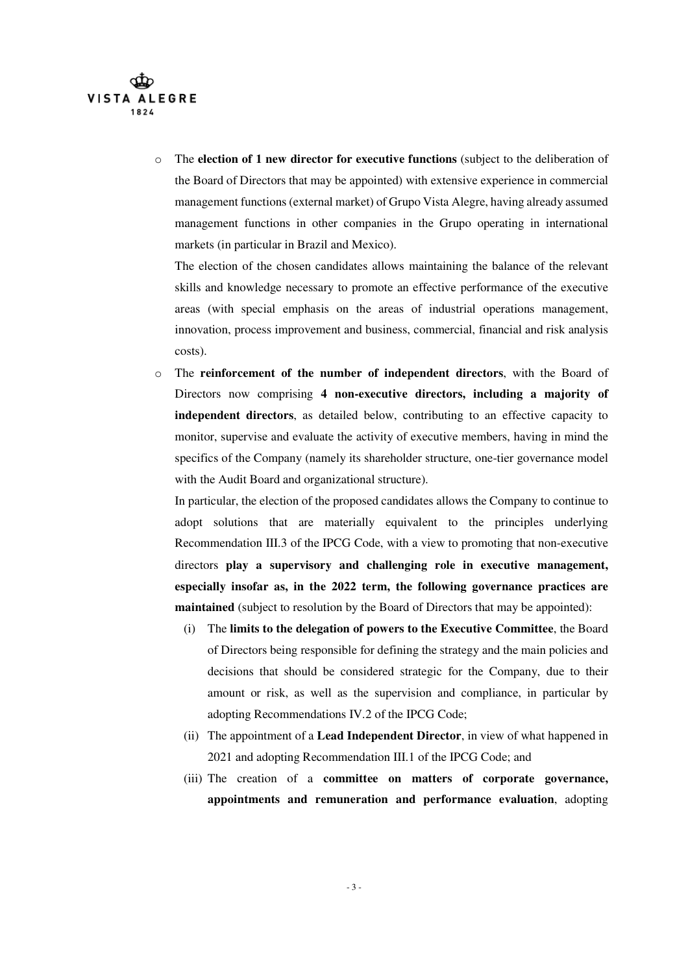

o The **election of 1 new director for executive functions** (subject to the deliberation of the Board of Directors that may be appointed) with extensive experience in commercial management functions (external market) of Grupo Vista Alegre, having already assumed management functions in other companies in the Grupo operating in international markets (in particular in Brazil and Mexico).

The election of the chosen candidates allows maintaining the balance of the relevant skills and knowledge necessary to promote an effective performance of the executive areas (with special emphasis on the areas of industrial operations management, innovation, process improvement and business, commercial, financial and risk analysis costs).

o The **reinforcement of the number of independent directors**, with the Board of Directors now comprising **4 non-executive directors, including a majority of independent directors**, as detailed below, contributing to an effective capacity to monitor, supervise and evaluate the activity of executive members, having in mind the specifics of the Company (namely its shareholder structure, one-tier governance model with the Audit Board and organizational structure).

In particular, the election of the proposed candidates allows the Company to continue to adopt solutions that are materially equivalent to the principles underlying Recommendation III.3 of the IPCG Code, with a view to promoting that non-executive directors **play a supervisory and challenging role in executive management, especially insofar as, in the 2022 term, the following governance practices are maintained** (subject to resolution by the Board of Directors that may be appointed):

- (i) The **limits to the delegation of powers to the Executive Committee**, the Board of Directors being responsible for defining the strategy and the main policies and decisions that should be considered strategic for the Company, due to their amount or risk, as well as the supervision and compliance, in particular by adopting Recommendations IV.2 of the IPCG Code;
- (ii) The appointment of a **Lead Independent Director**, in view of what happened in 2021 and adopting Recommendation III.1 of the IPCG Code; and
- (iii) The creation of a **committee on matters of corporate governance, appointments and remuneration and performance evaluation**, adopting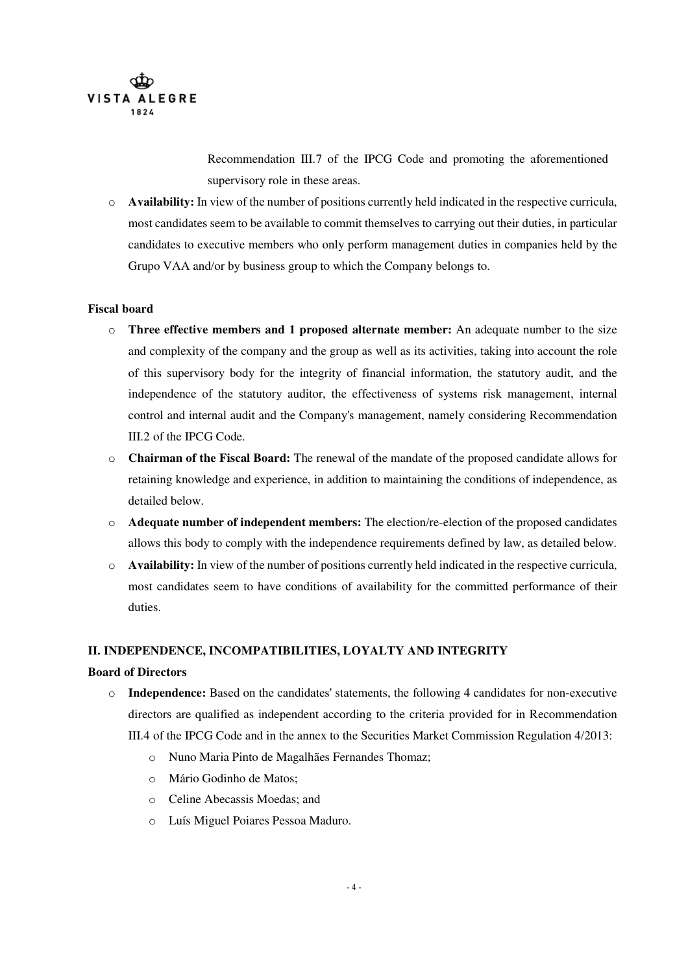

Recommendation III.7 of the IPCG Code and promoting the aforementioned supervisory role in these areas.

o **Availability:** In view of the number of positions currently held indicated in the respective curricula, most candidates seem to be available to commit themselves to carrying out their duties, in particular candidates to executive members who only perform management duties in companies held by the Grupo VAA and/or by business group to which the Company belongs to.

#### **Fiscal board**

- o **Three effective members and 1 proposed alternate member:** An adequate number to the size and complexity of the company and the group as well as its activities, taking into account the role of this supervisory body for the integrity of financial information, the statutory audit, and the independence of the statutory auditor, the effectiveness of systems risk management, internal control and internal audit and the Company's management, namely considering Recommendation III.2 of the IPCG Code.
- o **Chairman of the Fiscal Board:** The renewal of the mandate of the proposed candidate allows for retaining knowledge and experience, in addition to maintaining the conditions of independence, as detailed below.
- o **Adequate number of independent members:** The election/re-election of the proposed candidates allows this body to comply with the independence requirements defined by law, as detailed below.
- o **Availability:** In view of the number of positions currently held indicated in the respective curricula, most candidates seem to have conditions of availability for the committed performance of their duties.

# **II. INDEPENDENCE, INCOMPATIBILITIES, LOYALTY AND INTEGRITY**

#### **Board of Directors**

- o **Independence:** Based on the candidates' statements, the following 4 candidates for non-executive directors are qualified as independent according to the criteria provided for in Recommendation III.4 of the IPCG Code and in the annex to the Securities Market Commission Regulation 4/2013:
	- o Nuno Maria Pinto de Magalhães Fernandes Thomaz;
	- o Mário Godinho de Matos;
	- o Celine Abecassis Moedas; and
	- o Luís Miguel Poiares Pessoa Maduro.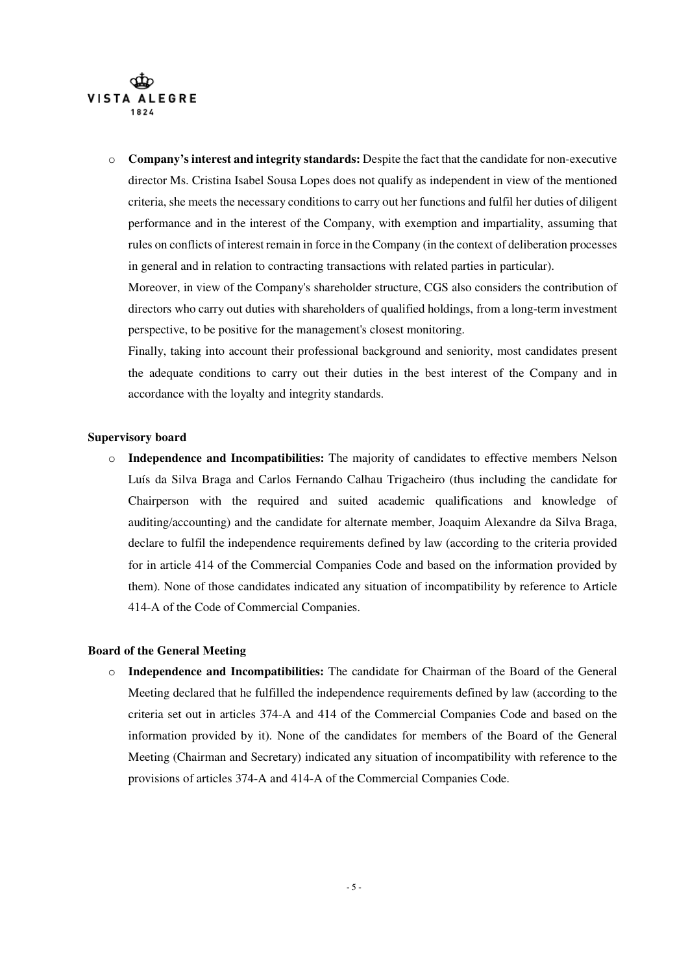

o **Company's interest and integrity standards:** Despite the fact that the candidate for non-executive director Ms. Cristina Isabel Sousa Lopes does not qualify as independent in view of the mentioned criteria, she meets the necessary conditions to carry out her functions and fulfil her duties of diligent performance and in the interest of the Company, with exemption and impartiality, assuming that rules on conflicts of interest remain in force in the Company (in the context of deliberation processes in general and in relation to contracting transactions with related parties in particular).

Moreover, in view of the Company's shareholder structure, CGS also considers the contribution of directors who carry out duties with shareholders of qualified holdings, from a long-term investment perspective, to be positive for the management's closest monitoring.

Finally, taking into account their professional background and seniority, most candidates present the adequate conditions to carry out their duties in the best interest of the Company and in accordance with the loyalty and integrity standards.

#### **Supervisory board**

o **Independence and Incompatibilities:** The majority of candidates to effective members Nelson Luís da Silva Braga and Carlos Fernando Calhau Trigacheiro (thus including the candidate for Chairperson with the required and suited academic qualifications and knowledge of auditing/accounting) and the candidate for alternate member, Joaquim Alexandre da Silva Braga, declare to fulfil the independence requirements defined by law (according to the criteria provided for in article 414 of the Commercial Companies Code and based on the information provided by them). None of those candidates indicated any situation of incompatibility by reference to Article 414-A of the Code of Commercial Companies.

# **Board of the General Meeting**

o **Independence and Incompatibilities:** The candidate for Chairman of the Board of the General Meeting declared that he fulfilled the independence requirements defined by law (according to the criteria set out in articles 374-A and 414 of the Commercial Companies Code and based on the information provided by it). None of the candidates for members of the Board of the General Meeting (Chairman and Secretary) indicated any situation of incompatibility with reference to the provisions of articles 374-A and 414-A of the Commercial Companies Code.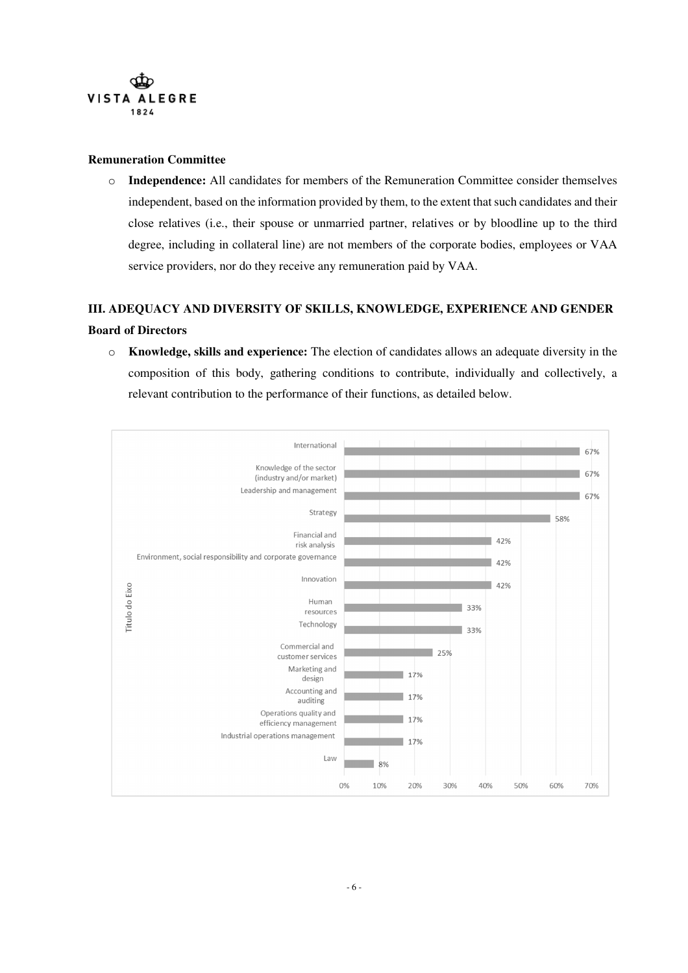

#### **Remuneration Committee**

o **Independence:** All candidates for members of the Remuneration Committee consider themselves independent, based on the information provided by them, to the extent that such candidates and their close relatives (i.e., their spouse or unmarried partner, relatives or by bloodline up to the third degree, including in collateral line) are not members of the corporate bodies, employees or VAA service providers, nor do they receive any remuneration paid by VAA.

# **III. ADEQUACY AND DIVERSITY OF SKILLS, KNOWLEDGE, EXPERIENCE AND GENDER Board of Directors**

o **Knowledge, skills and experience:** The election of candidates allows an adequate diversity in the composition of this body, gathering conditions to contribute, individually and collectively, a relevant contribution to the performance of their functions, as detailed below.

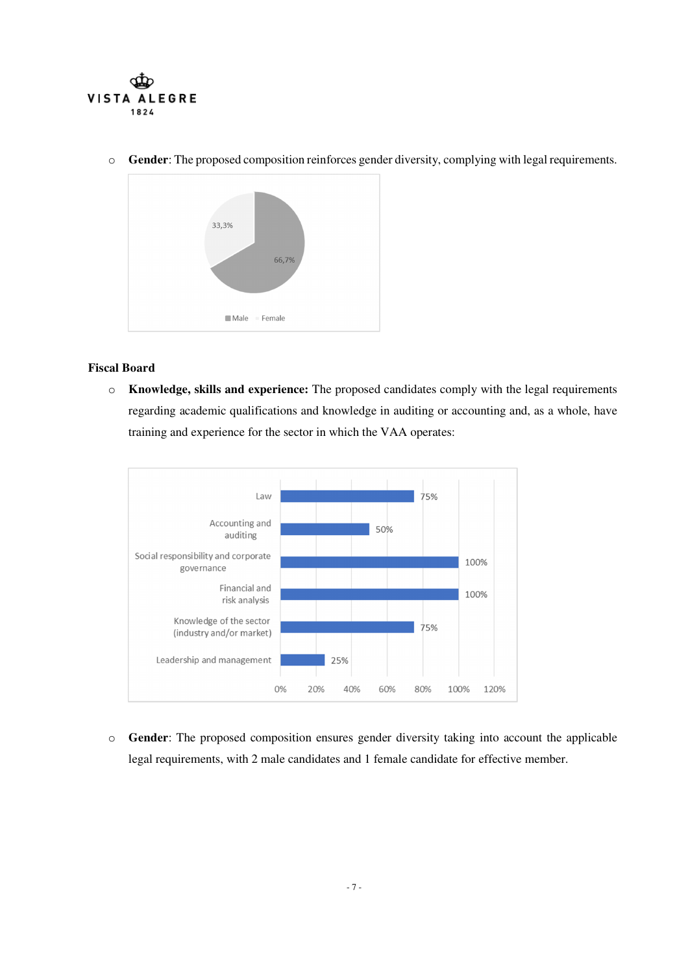

o **Gender**: The proposed composition reinforces gender diversity, complying with legal requirements.



#### **Fiscal Board**

o **Knowledge, skills and experience:** The proposed candidates comply with the legal requirements regarding academic qualifications and knowledge in auditing or accounting and, as a whole, have training and experience for the sector in which the VAA operates:



o **Gender**: The proposed composition ensures gender diversity taking into account the applicable legal requirements, with 2 male candidates and 1 female candidate for effective member.